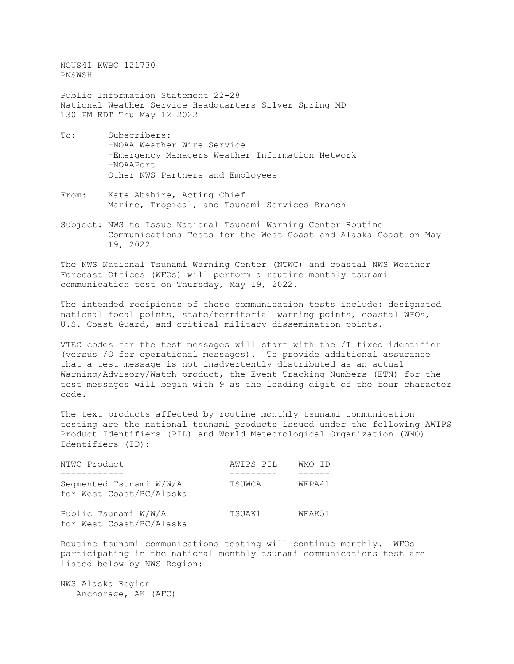NOUS41 KWBC 121730 PNSWSH

Public Information Statement 22-28 National Weather Service Headquarters Silver Spring MD 130 PM EDT Thu May 12 2022

- To: Subscribers: -NOAA Weather Wire Service -Emergency Managers Weather Information Network -NOAAPort Other NWS Partners and Employees
- From: Kate Abshire, Acting Chief Marine, Tropical, and Tsunami Services Branch
- Subject: NWS to Issue National Tsunami Warning Center Routine Communications Tests for the West Coast and Alaska Coast on May 19, 2022

The NWS National Tsunami Warning Center (NTWC) and coastal NWS Weather Forecast Offices (WFOs) will perform a routine monthly tsunami communication test on Thursday, May 19, 2022.

The intended recipients of these communication tests include: designated national focal points, state/territorial warning points, coastal WFOs, U.S. Coast Guard, and critical military dissemination points.

VTEC codes for the test messages will start with the /T fixed identifier (versus /O for operational messages). To provide additional assurance that a test message is not inadvertently distributed as an actual Warning/Advisory/Watch product, the Event Tracking Numbers (ETN) for the test messages will begin with 9 as the leading digit of the four character code.

The text products affected by routine monthly tsunami communication testing are the national tsunami products issued under the following AWIPS Product Identifiers (PIL) and World Meteorological Organization (WMO) Identifiers (ID):

| NTWC Product                                        | AWIPS PIL | WMO ID |
|-----------------------------------------------------|-----------|--------|
|                                                     |           |        |
| Seqmented Tsunami W/W/A<br>for West Coast/BC/Alaska | TSUWCA    | WEPA41 |
| Public Tsunami W/W/A<br>for West Coast/BC/Alaska    | TSUAK1    | WEAK51 |

Routine tsunami communications testing will continue monthly. WFOs participating in the national monthly tsunami communications test are listed below by NWS Region:

NWS Alaska Region Anchorage, AK (AFC)